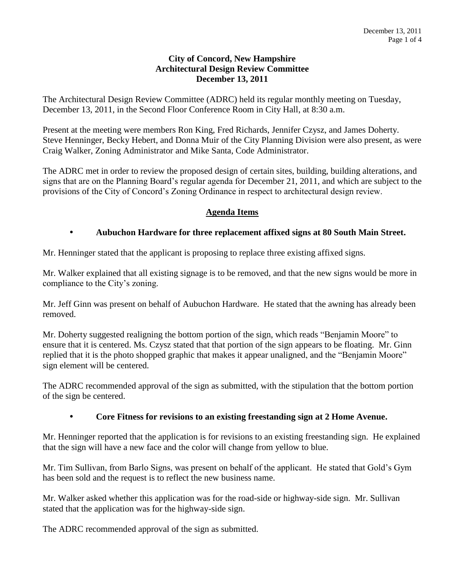### **City of Concord, New Hampshire Architectural Design Review Committee December 13, 2011**

The Architectural Design Review Committee (ADRC) held its regular monthly meeting on Tuesday, December 13, 2011, in the Second Floor Conference Room in City Hall, at 8:30 a.m.

Present at the meeting were members Ron King, Fred Richards, Jennifer Czysz, and James Doherty. Steve Henninger, Becky Hebert, and Donna Muir of the City Planning Division were also present, as were Craig Walker, Zoning Administrator and Mike Santa, Code Administrator.

The ADRC met in order to review the proposed design of certain sites, building, building alterations, and signs that are on the Planning Board's regular agenda for December 21, 2011, and which are subject to the provisions of the City of Concord's Zoning Ordinance in respect to architectural design review.

## **Agenda Items**

## **Aubuchon Hardware for three replacement affixed signs at 80 South Main Street.**

Mr. Henninger stated that the applicant is proposing to replace three existing affixed signs.

Mr. Walker explained that all existing signage is to be removed, and that the new signs would be more in compliance to the City's zoning.

Mr. Jeff Ginn was present on behalf of Aubuchon Hardware. He stated that the awning has already been removed.

Mr. Doherty suggested realigning the bottom portion of the sign, which reads "Benjamin Moore" to ensure that it is centered. Ms. Czysz stated that that portion of the sign appears to be floating. Mr. Ginn replied that it is the photo shopped graphic that makes it appear unaligned, and the "Benjamin Moore" sign element will be centered.

The ADRC recommended approval of the sign as submitted, with the stipulation that the bottom portion of the sign be centered.

### **Core Fitness for revisions to an existing freestanding sign at 2 Home Avenue.**

Mr. Henninger reported that the application is for revisions to an existing freestanding sign. He explained that the sign will have a new face and the color will change from yellow to blue.

Mr. Tim Sullivan, from Barlo Signs, was present on behalf of the applicant. He stated that Gold's Gym has been sold and the request is to reflect the new business name.

Mr. Walker asked whether this application was for the road-side or highway-side sign. Mr. Sullivan stated that the application was for the highway-side sign.

The ADRC recommended approval of the sign as submitted.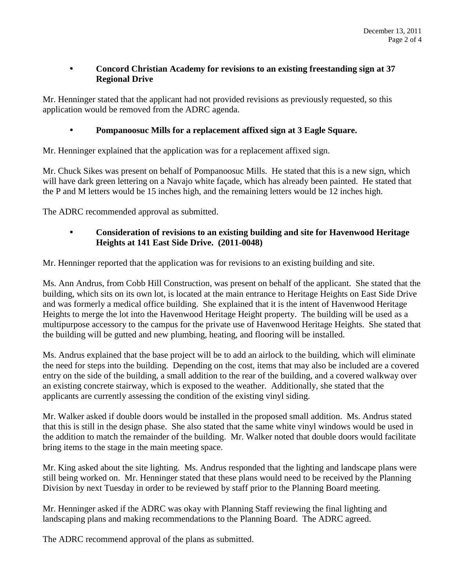## **Concord Christian Academy for revisions to an existing freestanding sign at 37 Regional Drive**

Mr. Henninger stated that the applicant had not provided revisions as previously requested, so this application would be removed from the ADRC agenda.

# **Pompanoosuc Mills for a replacement affixed sign at 3 Eagle Square.**

Mr. Henninger explained that the application was for a replacement affixed sign.

Mr. Chuck Sikes was present on behalf of Pompanoosuc Mills. He stated that this is a new sign, which will have dark green lettering on a Navajo white façade, which has already been painted. He stated that the P and M letters would be 15 inches high, and the remaining letters would be 12 inches high.

The ADRC recommended approval as submitted.

## **Consideration of revisions to an existing building and site for Havenwood Heritage Heights at 141 East Side Drive. (2011-0048)**

Mr. Henninger reported that the application was for revisions to an existing building and site.

Ms. Ann Andrus, from Cobb Hill Construction, was present on behalf of the applicant. She stated that the building, which sits on its own lot, is located at the main entrance to Heritage Heights on East Side Drive and was formerly a medical office building. She explained that it is the intent of Havenwood Heritage Heights to merge the lot into the Havenwood Heritage Height property. The building will be used as a multipurpose accessory to the campus for the private use of Havenwood Heritage Heights. She stated that the building will be gutted and new plumbing, heating, and flooring will be installed.

Ms. Andrus explained that the base project will be to add an airlock to the building, which will eliminate the need for steps into the building. Depending on the cost, items that may also be included are a covered entry on the side of the building, a small addition to the rear of the building, and a covered walkway over an existing concrete stairway, which is exposed to the weather. Additionally, she stated that the applicants are currently assessing the condition of the existing vinyl siding.

Mr. Walker asked if double doors would be installed in the proposed small addition. Ms. Andrus stated that this is still in the design phase. She also stated that the same white vinyl windows would be used in the addition to match the remainder of the building. Mr. Walker noted that double doors would facilitate bring items to the stage in the main meeting space.

Mr. King asked about the site lighting. Ms. Andrus responded that the lighting and landscape plans were still being worked on. Mr. Henninger stated that these plans would need to be received by the Planning Division by next Tuesday in order to be reviewed by staff prior to the Planning Board meeting.

Mr. Henninger asked if the ADRC was okay with Planning Staff reviewing the final lighting and landscaping plans and making recommendations to the Planning Board. The ADRC agreed.

The ADRC recommend approval of the plans as submitted.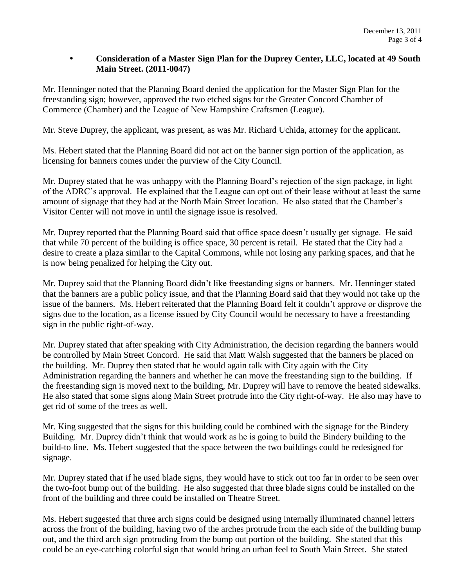### **Consideration of a Master Sign Plan for the Duprey Center, LLC, located at 49 South Main Street. (2011-0047)**

Mr. Henninger noted that the Planning Board denied the application for the Master Sign Plan for the freestanding sign; however, approved the two etched signs for the Greater Concord Chamber of Commerce (Chamber) and the League of New Hampshire Craftsmen (League).

Mr. Steve Duprey, the applicant, was present, as was Mr. Richard Uchida, attorney for the applicant.

Ms. Hebert stated that the Planning Board did not act on the banner sign portion of the application, as licensing for banners comes under the purview of the City Council.

Mr. Duprey stated that he was unhappy with the Planning Board's rejection of the sign package, in light of the ADRC's approval. He explained that the League can opt out of their lease without at least the same amount of signage that they had at the North Main Street location. He also stated that the Chamber's Visitor Center will not move in until the signage issue is resolved.

Mr. Duprey reported that the Planning Board said that office space doesn't usually get signage. He said that while 70 percent of the building is office space, 30 percent is retail. He stated that the City had a desire to create a plaza similar to the Capital Commons, while not losing any parking spaces, and that he is now being penalized for helping the City out.

Mr. Duprey said that the Planning Board didn't like freestanding signs or banners. Mr. Henninger stated that the banners are a public policy issue, and that the Planning Board said that they would not take up the issue of the banners. Ms. Hebert reiterated that the Planning Board felt it couldn't approve or disprove the signs due to the location, as a license issued by City Council would be necessary to have a freestanding sign in the public right-of-way.

Mr. Duprey stated that after speaking with City Administration, the decision regarding the banners would be controlled by Main Street Concord. He said that Matt Walsh suggested that the banners be placed on the building. Mr. Duprey then stated that he would again talk with City again with the City Administration regarding the banners and whether he can move the freestanding sign to the building. If the freestanding sign is moved next to the building, Mr. Duprey will have to remove the heated sidewalks. He also stated that some signs along Main Street protrude into the City right-of-way. He also may have to get rid of some of the trees as well.

Mr. King suggested that the signs for this building could be combined with the signage for the Bindery Building. Mr. Duprey didn't think that would work as he is going to build the Bindery building to the build-to line. Ms. Hebert suggested that the space between the two buildings could be redesigned for signage.

Mr. Duprey stated that if he used blade signs, they would have to stick out too far in order to be seen over the two-foot bump out of the building. He also suggested that three blade signs could be installed on the front of the building and three could be installed on Theatre Street.

Ms. Hebert suggested that three arch signs could be designed using internally illuminated channel letters across the front of the building, having two of the arches protrude from the each side of the building bump out, and the third arch sign protruding from the bump out portion of the building. She stated that this could be an eye-catching colorful sign that would bring an urban feel to South Main Street. She stated